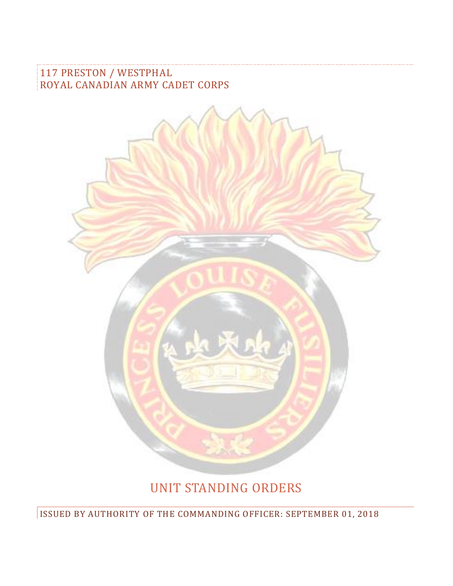117 PRESTON / WESTPHAL ROYAL CANADIAN ARMY CADET CORPS



# UNIT STANDING ORDERS

ISSUED BY AUTHORITY OF THE COMMANDING OFFICER: SEPTEMBER 01, 2018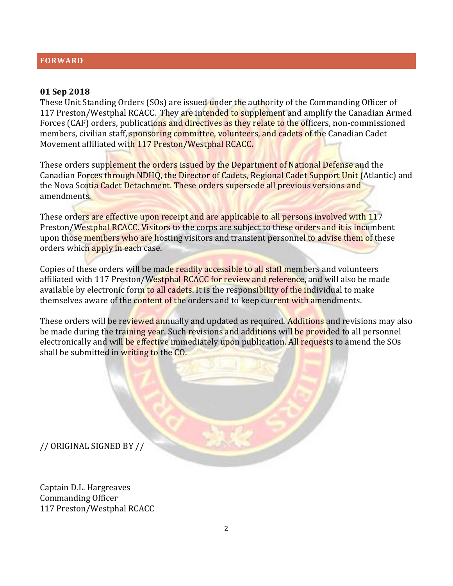#### **FORWARD**

#### **01 Sep 2018**

These Unit Standing Orders (SOs) are issued under the authority of the Commanding Officer of 117 Preston/Westphal RCACC. They are intended to supplement and amplify the Canadian Armed Forces (CAF) orders, publications and directives as they relate to the officers, non-commissioned members, civilian staff, sponsoring committee, volunteers, and cadets of the Canadian Cadet Movement affiliated with 117 Preston/Westphal RCACC**.**

These orders supplement the orders issued by the Department of National Defense and the Canadian Forces through NDHQ, the Director of Cadets, Regional Cadet Support Unit (Atlantic) and the Nova Scotia Cadet Detachment. These orders supersede all previous versions and amendments.

These orders are effective upon receipt and are applicable to all persons involved with 117 Preston/Westphal RCACC. Visitors to the corps are subject to these orders and it is incumbent upon those members who are hosting visitors and transient personnel to advise them of these orders which apply in each case.

Copies of these orders will be made readily accessible to all staff members and volunteers affiliated with 117 Preston/Westphal RCACC for review and reference, and will also be made available by electronic form to all cadets. It is the responsibility of the individual to make themselves aware of the content of the orders and to keep current with amendments.

These orders will be reviewed annually and updated as required. Additions and revisions may also be made during the training year. Such revisions and additions will be provided to all personnel electronically and will be effective immediately upon publication. All requests to amend the SOs shall be submitted in writing to the CO.

// ORIGINAL SIGNED BY //

Captain D.L. Hargreaves Commanding Officer 117 Preston/Westphal RCACC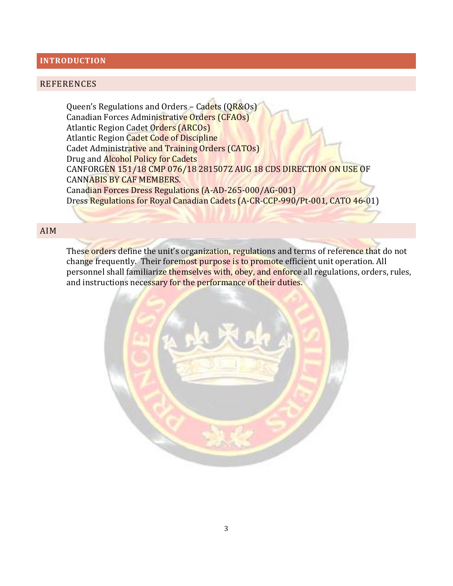#### **INTRODUCTION**

#### REFERENCES

Queen's Regulations and Orders – Cadets (QR&Os) Canadian Forces Administrative Orders (CFAOs) Atlantic Region Cadet Orders (ARCOs) Atlantic Region Cadet Code of Discipline Cadet Administrative and Training Orders (CATOs) Drug and Alcohol Policy for Cadets CANFORGEN 151/18 CMP 076/18 281507Z AUG 18 CDS DIRECTION ON USE OF CANNABIS BY CAF MEMBERS. Canadian Forces Dress Regulations (A-AD-265-000/AG-001) Dress Regulations for Royal Canadian Cadets (A-CR-CCP-990/Pt-001, CATO 46-01)

#### AIM

These orders define the unit's organization, regulations and terms of reference that do not change frequently. Their foremost purpose is to promote efficient unit operation. All personnel shall familiarize themselves with, obey, and enforce all regulations, orders, rules, and instructions necessary for the performance of their duties.

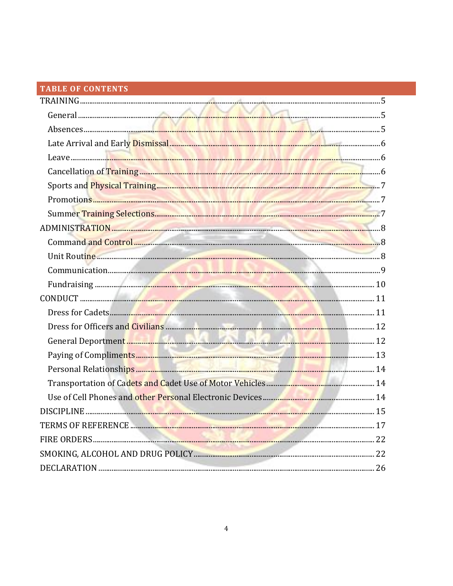# TABLE OF CONTENTS

| Cancellation of Training <b>Executive Cancellation</b> 6 |  |
|----------------------------------------------------------|--|
|                                                          |  |
|                                                          |  |
|                                                          |  |
|                                                          |  |
|                                                          |  |
|                                                          |  |
|                                                          |  |
|                                                          |  |
|                                                          |  |
|                                                          |  |
|                                                          |  |
|                                                          |  |
|                                                          |  |
|                                                          |  |
|                                                          |  |
|                                                          |  |
|                                                          |  |
|                                                          |  |
|                                                          |  |
|                                                          |  |
|                                                          |  |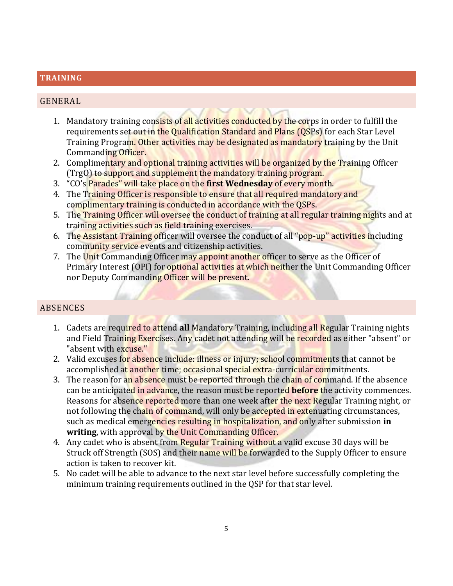### <span id="page-4-0"></span>**TRAINING**

### <span id="page-4-1"></span>GENERAL

- 1. Mandatory training consists of all activities conducted by the corps in order to fulfill the requirements set out in the Qualification Standard and Plans (OSPs) for each Star Level Training Program. Other activities may be designated as mandatory training by the Unit Commanding Officer.
- 2. Complimentary and optional training activities will be organized by the Training Officer (TrgO) to support and supplement the mandatory training program.
- 3. "CO's Parades" will take place on the **first Wednesday** of every month.
- 4. The Training Officer is responsible to ensure that all required mandatory and complimentary training is conducted in accordance with the QSPs.
- 5. The Training Officer will oversee the conduct of training at all regular training nights and at training activities such as field training exercises.
- 6. The Assistant Training officer will oversee the conduct of all "pop-up" activities including community service events and citizenship activities.
- 7. The Unit Commanding Officer may appoint another officer to serve as the Officer of Primary Interest (OPI) for optional activities at which neither the Unit Commanding Officer nor Deputy Commanding Officer will be present.

# <span id="page-4-2"></span>ABSENCES

- 1. Cadets are required to attend **all** Mandatory Training, including all Regular Training nights and Field Training Exercises. Any cadet not attending will be recorded as either "absent" or "absent with excuse."
- 2. Valid excuses for absence include: illness or injury; school commitments that cannot be accomplished at another time; occasional special extra-curricular commitments.
- 3. The reason for an absence must be reported through the chain of command. If the absence can be anticipated in advance, the reason must be reported **before** the activity commences. Reasons for absence reported more than one week after the next Regular Training night, or not following the chain of command, will only be accepted in extenuating circumstances, such as medical emergencies resulting in hospitalization, and only after submission **in writing**, with approval by the Unit Commanding Officer.
- 4. Any cadet who is absent from Regular Training without a valid excuse 30 days will be Struck off Strength (SOS) and their name will be forwarded to the Supply Officer to ensure action is taken to recover kit.
- 5. No cadet will be able to advance to the next star level before successfully completing the minimum training requirements outlined in the QSP for that star level.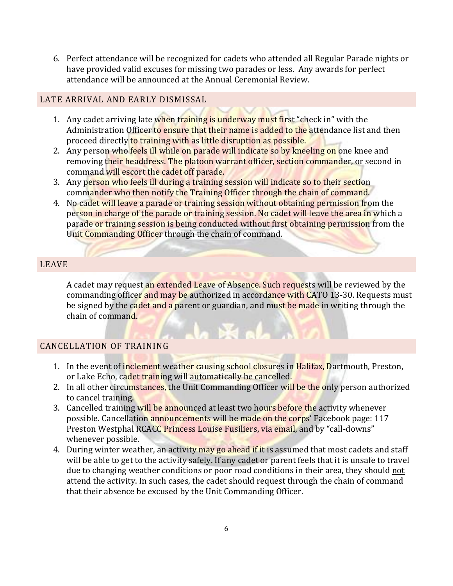6. Perfect attendance will be recognized for cadets who attended all Regular Parade nights or have provided valid excuses for missing two parades or less. Any awards for perfect attendance will be announced at the Annual Ceremonial Review.

# <span id="page-5-0"></span>LATE ARRIVAL AND EARLY DISMISSAL

- 1. Any cadet arriving late when training is underway must first "check in" with the Administration Officer to ensure that their name is added to the attendance list and then proceed directly to training with as little disruption as possible.
- 2. Any person who feels ill while on parade will indicate so by kneeling on one knee and removing their headdress. The platoon warrant officer, section commander, or second in command will escort the cadet off parade.
- 3. Any person who feels ill during a training session will indicate so to their section commander who then notify the Training Officer through the chain of command.
- 4. No cadet will leave a parade or training session without obtaining permission from the person in charge of the parade or training session. No cadet will leave the area in which a parade or training session is being conducted without first obtaining permission from the Unit Commanding Officer through the chain of command.

# <span id="page-5-1"></span>LEAVE

A cadet may request an extended Leave of Absence. Such requests will be reviewed by the commanding officer and may be authorized in accordance with CATO 13-30. Requests must be signed by the cadet and a parent or guardian, and must be made in writing through the chain of command.

# <span id="page-5-2"></span>CANCELLATION OF TRAINING

- 1. In the event of inclement weather causing school closures in Halifax, Dartmouth, Preston, or Lake Echo, cadet training will automatically be cancelled.
- 2. In all other circumstances, the Unit Commanding Officer will be the only person authorized to cancel training.
- 3. Cancelled training will be announced at least two hours before the activity whenever possible. Cancellation announcements will be made on the corps' Facebook page: 117 Preston Westphal RCACC Princess Louise Fusiliers, via email, and by "call-downs" whenever possible.
- 4. During winter weather, an activity may go ahead if it is assumed that most cadets and staff will be able to get to the activity safely. If any cadet or parent feels that it is unsafe to travel due to changing weather conditions or poor road conditions in their area, they should not attend the activity. In such cases, the cadet should request through the chain of command that their absence be excused by the Unit Commanding Officer.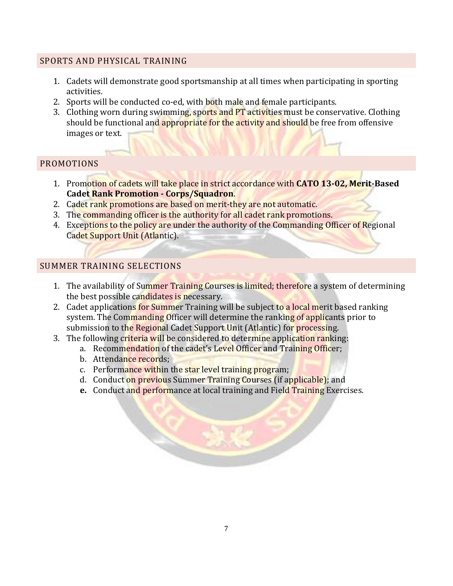# <span id="page-6-0"></span>SPORTS AND PHYSICAL TRAINING

- 1. Cadets will demonstrate good sportsmanship at all times when participating in sporting activities.
- 2. Sports will be conducted co-ed, with both male and female participants.
- 3. Clothing worn during swimming, sports and PT activities must be conservative. Clothing should be functional and appropriate for the activity and should be free from offensive images or text.

# <span id="page-6-1"></span>PROMOTIONS

- 1. Promotion of cadets will take place in strict accordance with **CATO 13-02, Merit-Based Cadet Rank Promotion - Corps/Squadron**.
- 2. Cadet rank promotions are based on merit-they are not automatic.
- 3. The commanding officer is the authority for all cadet rank promotions.
- 4. Exceptions to the policy are under the authority of the Commanding Officer of Regional Cadet Support Unit (Atlantic).

# <span id="page-6-2"></span>SUMMER TRAINING SELECTIONS

- 1. The availability of Summer Training Courses is limited; therefore a system of determining the best possible candidates is necessary.
- 2. Cadet applications for Summer Training will be subject to a local merit based ranking system. The Commanding Officer will determine the ranking of applicants prior to submission to the Regional Cadet Support Unit (Atlantic) for processing.
- 3. The following criteria will be considered to determine application ranking:
	- a. Recommendation of the cadet's Level Officer and Training Officer;
	- b. Attendance records;
	- c. Performance within the star level training program;
	- d. Conduct on previous Summer Training Courses (if applicable); and
	- **e.** Conduct and performance at local training and Field Training Exercises.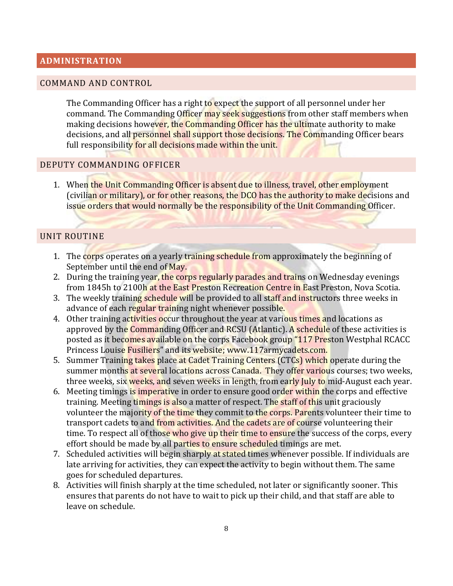## <span id="page-7-0"></span>**ADMINISTRATION**

#### <span id="page-7-1"></span>COMMAND AND CONTROL

The Commanding Officer has a right to expect the support of all personnel under her command. The Commanding Officer may seek suggestions from other staff members when making decisions however, the Commanding Officer has the ultimate authority to make decisions, and all personnel shall support those decisions. The Commanding Officer bears full responsibility for all decisions made within the unit.

#### DEPUTY COMMANDING OFFICER

1. When the Unit Commanding Officer is absent due to illness, travel, other employment (civilian or military), or for other reasons, the DCO has the authority to make decisions and issue orders that would normally be the responsibility of the Unit Commanding Officer.

#### <span id="page-7-2"></span>UNIT ROUTINE

- 1. The corps operates on a yearly training schedule from approximately the beginning of September until the end of May.
- 2. During the training year, the corps regularly parades and trains on Wednesday evenings from 1845h to 2100h at the East Preston Recreation Centre in East Preston, Nova Scotia.
- 3. The weekly training schedule will be provided to all staff and instructors three weeks in advance of each regular training night whenever possible.
- 4. Other training activities occur throughout the year at various times and locations as approved by the Commanding Officer and RCSU (Atlantic). A schedule of these activities is posted as it becomes available on the corps Facebook group "117 Preston Westphal RCACC Princess Louise Fusiliers" and its website; www.117armycadets.com.
- 5. Summer Training takes place at Cadet Training Centers (CTCs) which operate during the summer months at several locations across Canada. They offer various courses; two weeks, three weeks, six weeks, and seven weeks in length, from early July to mid-August each year.
- 6. Meeting timings is imperative in order to ensure good order within the corps and effective training. Meeting timings is also a matter of respect. The staff of this unit graciously volunteer the majority of the time they commit to the corps. Parents volunteer their time to transport cadets to and from activities. And the cadets are of course volunteering their time. To respect all of those who give up their time to ensure the success of the corps, every effort should be made by all parties to ensure scheduled timings are met.
- 7. Scheduled activities will begin sharply at stated times whenever possible. If individuals are late arriving for activities, they can expect the activity to begin without them. The same goes for scheduled departures.
- 8. Activities will finish sharply at the time scheduled, not later or significantly sooner. This ensures that parents do not have to wait to pick up their child, and that staff are able to leave on schedule.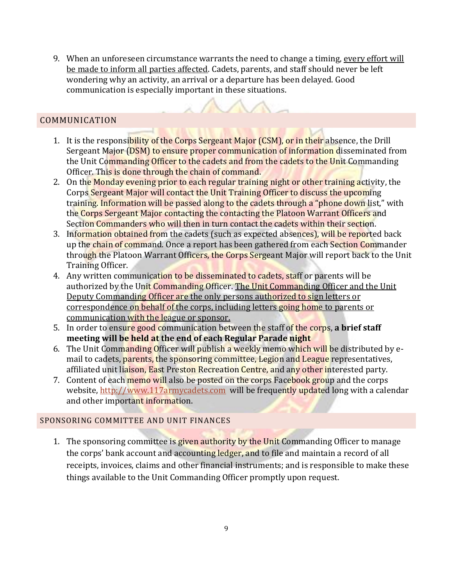9. When an unforeseen circumstance warrants the need to change a timing, every effort will be made to inform all parties affected. Cadets, parents, and staff should never be left wondering why an activity, an arrival or a departure has been delayed. Good communication is especially important in these situations.

# <span id="page-8-0"></span>COMMUNICATION

- 1. It is the responsibility of the Corps Sergeant Major (CSM), or in their absence, the Drill Sergeant Major (DSM) to ensure proper communication of information disseminated from the Unit Commanding Officer to the cadets and from the cadets to the Unit Commanding Officer. This is done through the chain of command.
- 2. On the Monday evening prior to each regular training night or other training activity, the Corps Sergeant Major will contact the Unit Training Officer to discuss the upcoming training. Information will be passed along to the cadets through a "phone down list," with the Corps Sergeant Major contacting the contacting the Platoon Warrant Officers and Section Commanders who will then in turn contact the cadets within their section.
- 3. Information obtained from the cadets (such as expected absences), will be reported back up the chain of command. Once a report has been gathered from each Section Commander through the Platoon Warrant Officers, the Corps Sergeant Major will report back to the Unit Training Officer.
- 4. Any written communication to be disseminated to cadets, staff or parents will be authorized by the Unit Commanding Officer. The Unit Commanding Officer and the Unit Deputy Commanding Officer are the only persons authorized to sign letters or correspondence on behalf of the corps, including letters going home to parents or communication with the league or sponsor.
- 5. In order to ensure good communication between the staff of the corps, **a brief staff meeting will be held at the end of each Regular Parade night**
- 6. The Unit Commanding Officer will publish a weekly memo which will be distributed by email to cadets, parents, the sponsoring committee, Legion and League representatives, affiliated unit liaison, East Preston Recreation Centre, and any other interested party.
- 7. Content of each memo will also be posted on the corps Facebook group and the corps website, [http://www.117armycadets.com](http://www.117armycadets.com/) will be frequently updated long with a calendar and other important information.

#### SPONSORING COMMITTEE AND UNIT FINANCES

1. The sponsoring committee is given authority by the Unit Commanding Officer to manage the corps' bank account and accounting ledger, and to file and maintain a record of all receipts, invoices, claims and other financial instruments; and is responsible to make these things available to the Unit Commanding Officer promptly upon request.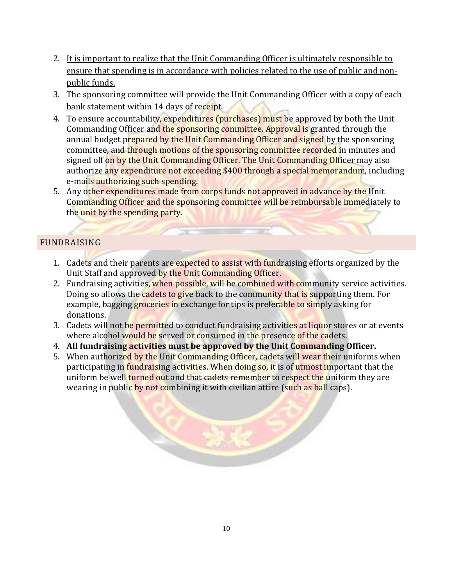- 2. It is important to realize that the Unit Commanding Officer is ultimately responsible to ensure that spending is in accordance with policies related to the use of public and nonpublic funds.
- 3. The sponsoring committee will provide the Unit Commanding Officer with a copy of each bank statement within 14 days of receipt.
- 4. To ensure accountability, expenditures (purchases) must be approved by both the Unit Commanding Officer and the sponsoring committee. Approval is granted through the annual budget prepared by the Unit Commanding Officer and signed by the sponsoring committee, and through motions of the sponsoring committee recorded in minutes and signed off on by the Unit Commanding Officer. The Unit Commanding Officer may also authorize any expenditure not exceeding \$400 through a special memorandum, including e-mails authorizing such spending.
- 5. Any other expenditures made from corps funds not approved in advance by the Unit Commanding Officer and the sponsoring committee will be reimbursable immediately to the unit by the spending party.

# <span id="page-9-0"></span>FUNDRAISING

- 1. Cadets and their parents are expected to assist with fundraising efforts organized by the Unit Staff and approved by the Unit Commanding Officer.
- 2. Fundraising activities, when possible, will be combined with community service activities. Doing so allows the cadets to give back to the community that is supporting them. For example, bagging groceries in exchange for tips is preferable to simply asking for donations.
- 3. Cadets will not be permitted to conduct fundraising activities at liquor stores or at events where alcohol would be served or consumed in the presence of the cadets.
- 4. **All fundraising activities must be approved by the Unit Commanding Officer.**
- 5. When authorized by the Unit Commanding Officer, cadets will wear their uniforms when participating in fundraising activities. When doing so, it is of utmost important that the uniform be well turned out and that cadets remember to respect the uniform they are wearing in public by not combining it with civilian attire (such as ball caps).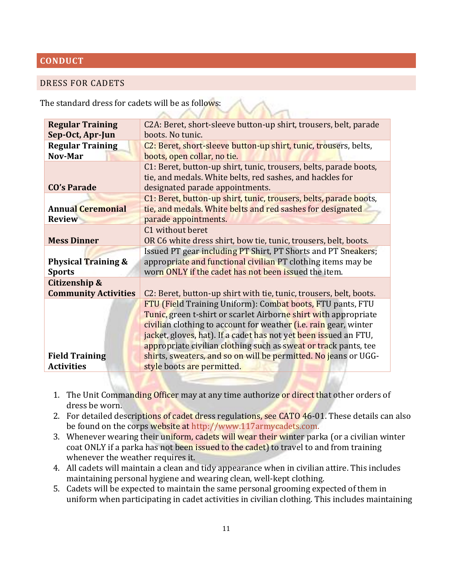### <span id="page-10-0"></span>**CONDUCT**

#### <span id="page-10-1"></span>DRESS FOR CADETS

The standard dress for cadets will be as follows:

| C2A: Beret, short-sleeve button-up shirt, trousers, belt, parade         |  |  |  |
|--------------------------------------------------------------------------|--|--|--|
| boots. No tunic.                                                         |  |  |  |
| C2: Beret, short-sleeve button-up shirt, tunic, trousers, belts,         |  |  |  |
| boots, open collar, no tie.                                              |  |  |  |
| C1: Beret, button-up shirt, tunic, trousers, belts, parade boots,        |  |  |  |
| tie, and medals. White belts, red sashes, and hackles for                |  |  |  |
| designated parade appointments.                                          |  |  |  |
| C1: Beret, button-up shirt, tunic, trousers, belts, parade boots,        |  |  |  |
| tie, and medals. White belts and red sashes for designated               |  |  |  |
| parade appointments.                                                     |  |  |  |
| C1 without beret                                                         |  |  |  |
| OR C6 white dress shirt, bow tie, tunic, trousers, belt, boots.          |  |  |  |
| Issued PT gear including PT Shirt, PT Shorts and PT Sneakers;            |  |  |  |
| appropriate and functional civilian PT clothing items may be             |  |  |  |
| worn ONLY if the cadet has not been issued the item.                     |  |  |  |
|                                                                          |  |  |  |
| C2: Beret, button-up shirt with tie, tunic, trousers, belt, boots.       |  |  |  |
| FTU (Field Training Uniform): Combat boots, FTU pants, FTU               |  |  |  |
| Tunic, green t-shirt or scarlet Airborne shirt with appropriate          |  |  |  |
| civilian clothing to account for weather <i>(i.e. rain gear</i> , winter |  |  |  |
| jacket, gloves, hat). If a cadet has not yet been issued an FTU,         |  |  |  |
| appropriate civilian clothing such as sweat or track pants, tee          |  |  |  |
| shirts, sweaters, and so on will be permitted. No jeans or UGG-          |  |  |  |
| style boots are permitted.                                               |  |  |  |
|                                                                          |  |  |  |

- 1. The Unit Commanding Officer may at any time authorize or direct that other orders of dress be worn.
- 2. For detailed descriptions of cadet dress regulations, see CATO 46-01. These details can also be found on the corps website at http://www.117armycadets.com.
- 3. Whenever wearing their uniform, cadets will wear their winter parka (or a civilian winter coat ONLY if a parka has not been issued to the cadet) to travel to and from training whenever the weather requires it.
- 4. All cadets will maintain a clean and tidy appearance when in civilian attire. This includes maintaining personal hygiene and wearing clean, well-kept clothing.
- 5. Cadets will be expected to maintain the same personal grooming expected of them in uniform when participating in cadet activities in civilian clothing. This includes maintaining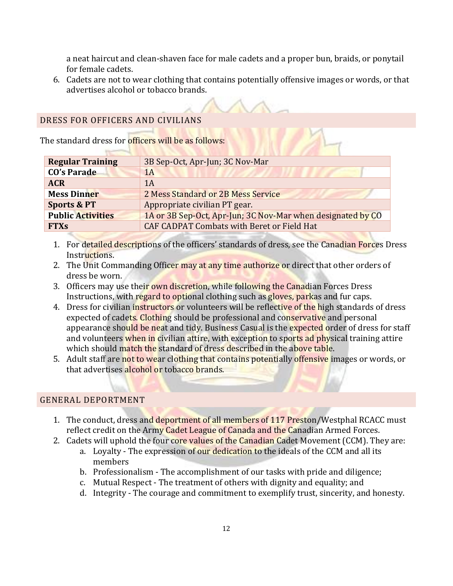a neat haircut and clean-shaven face for male cadets and a proper bun, braids, or ponytail for female cadets.

6. Cadets are not to wear clothing that contains potentially offensive images or words, or that advertises alcohol or tobacco brands.

### <span id="page-11-0"></span>DRESS FOR OFFICERS AND CIVILIANS

The standard dress for officers will be as follows:

| <b>Regular Training</b>  | 3B Sep-Oct, Apr-Jun; 3C Nov-Mar                             |
|--------------------------|-------------------------------------------------------------|
| <b>CO's Parade</b>       | 1A                                                          |
| <b>ACR</b>               | 1A                                                          |
| <b>Mess Dinner</b>       | 2 Mess Standard or 2B Mess Service                          |
| <b>Sports &amp; PT</b>   | Appropriate civilian PT gear.                               |
| <b>Public Activities</b> | 1A or 3B Sep-Oct, Apr-Jun; 3C Nov-Mar when designated by CO |
| <b>FTXs</b>              | <b>CAF CADPAT Combats with Beret or Field Hat</b>           |

- 1. For detailed descriptions of the officers' standards of dress, see the Canadian Forces Dress Instructions.
- 2. The Unit Commanding Officer may at any time authorize or direct that other orders of dress be worn.
- 3. Officers may use their own discretion, while following the Canadian Forces Dress Instructions, with regard to optional clothing such as gloves, parkas and fur caps.
- 4. Dress for civilian instructors or volunteers will be reflective of the high standards of dress expected of cadets. Clothing should be professional and conservative and personal appearance should be neat and tidy. Business Casual is the expected order of dress for staff and volunteers when in civilian attire, with exception to sports ad physical training attire which should match the standard of dress described in the above table.
- 5. Adult staff are not to wear clothing that contains potentially offensive images or words, or that advertises alcohol or tobacco brands.

#### <span id="page-11-1"></span>GENERAL DEPORTMENT

- 1. The conduct, dress and deportment of all members of 117 Preston/Westphal RCACC must reflect credit on the Army Cadet League of Canada and the Canadian Armed Forces.
- 2. Cadets will uphold the four core values of the Canadian Cadet Movement (CCM). They are:
	- a. Loyalty The expression of our dedication to the ideals of the CCM and all its members
	- b. Professionalism The accomplishment of our tasks with pride and diligence;
	- c. Mutual Respect The treatment of others with dignity and equality; and
	- d. Integrity The courage and commitment to exemplify trust, sincerity, and honesty.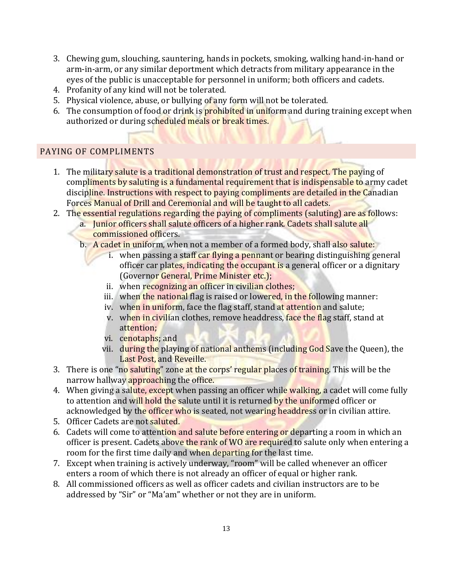- 3. Chewing gum, slouching, sauntering, hands in pockets, smoking, walking hand-in-hand or arm-in-arm, or any similar deportment which detracts from military appearance in the eyes of the public is unacceptable for personnel in uniform; both officers and cadets.
- 4. Profanity of any kind will not be tolerated.
- 5. Physical violence, abuse, or bullying of any form will not be tolerated.
- 6. The consumption of food or drink is **prohibited** in uniform and during training except when authorized or during scheduled meals or break times.

# <span id="page-12-0"></span>PAYING OF COMPLIMENTS

- 1. The military salute is a traditional demonstration of trust and respect. The paying of compliments by saluting is a fundamental requirement that is indispensable to army cadet discipline. Instructions with respect to paying compliments are detailed in the Canadian Forces Manual of Drill and Ceremonial and will be taught to all cadets.
- 2. The essential regulations regarding the paying of compliments (saluting) are as follows:
	- a. Junior officers shall salute officers of a higher rank. Cadets shall salute all commissioned officers.
	- b. A cadet in uniform, when not a member of a formed body, shall also salute:
		- i. when passing a staff car flying a pennant or bearing distinguishing general officer car plates, indicating the occupant is a general officer or a dignitary (Governor General, Prime Minister etc.);
		- ii. when recognizing an officer in civilian clothes;
		- iii. when the national flag is raised or lowered, in the following manner:
		- iv. when in uniform, face the flag staff, stand at attention and salute;
		- v. when in civilian clothes, remove headdress, face the flag staff, stand at attention;
		- vi. cenotaphs; and
		- vii. during the playing of national anthems (including God Save the Queen), the Last Post, and Reveille.
- 3. There is one "no saluting" zone at the corps' regular places of training. This will be the narrow hallway approaching the office.
- 4. When giving a salute, except when passing an officer while walking, a cadet will come fully to attention and will hold the salute until it is returned by the uniformed officer or acknowledged by the officer who is seated, not wearing headdress or in civilian attire.
- 5. Officer Cadets are not saluted.
- 6. Cadets will come to attention and salute before entering or departing a room in which an officer is present. Cadets above the rank of WO are required to salute only when entering a room for the first time daily and when departing for the last time.
- 7. Except when training is actively underway, "room" will be called whenever an officer enters a room of which there is not already an officer of equal or higher rank.
- 8. All commissioned officers as well as officer cadets and civilian instructors are to be addressed by "Sir" or "Ma'am" whether or not they are in uniform.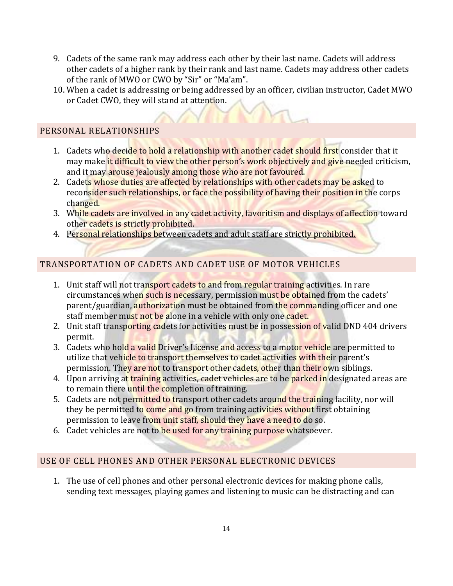- 9. Cadets of the same rank may address each other by their last name. Cadets will address other cadets of a higher rank by their rank and last name. Cadets may address other cadets of the rank of MWO or CWO by "Sir" or "Ma'am".
- 10. When a cadet is addressing or being addressed by an officer, civilian instructor, Cadet MWO or Cadet CWO, they will stand at attention.

# <span id="page-13-0"></span>PERSONAL RELATIONSHIPS

- 1. Cadets who decide to hold a relationship with another cadet should first consider that it may make it difficult to view the other person's work objectively and give needed criticism, and it may arouse jealously among those who are not favoured.
- 2. Cadets whose duties are affected by relationships with other cadets may be asked to reconsider such relationships, or face the possibility of having their position in the corps changed.
- 3. While cadets are involved in any cadet activity, favoritism and displays of affection toward other cadets is strictly prohibited.
- 4. Personal relationships between cadets and adult staff are strictly prohibited.

# <span id="page-13-1"></span>TRANSPORTATION OF CADETS AND CADET USE OF MOTOR VEHICLES

- 1. Unit staff will not transport cadets to and from regular training activities. In rare circumstances when such is necessary, permission must be obtained from the cadets' parent/guardian, authorization must be obtained from the commanding officer and one staff member must not be alone in a vehicle with only one cadet.
- 2. Unit staff transporting cadets for activities must be in possession of valid DND 404 drivers permit.
- 3. Cadets who hold a valid Driver's License and access to a motor vehicle are permitted to utilize that vehicle to transport themselves to cadet activities with their parent's permission. They are not to transport other cadets, other than their own siblings.
- 4. Upon arriving at training activities, cadet vehicles are to be parked in designated areas are to remain there until the completion of training.
- 5. Cadets are not permitted to transport other cadets around the training facility, nor will they be permitted to come and go from training activities without first obtaining permission to leave from unit staff, should they have a need to do so.
- 6. Cadet vehicles are not to be used for any training purpose whatsoever.

# <span id="page-13-2"></span>USE OF CELL PHONES AND OTHER PERSONAL ELECTRONIC DEVICES

1. The use of cell phones and other personal electronic devices for making phone calls, sending text messages, playing games and listening to music can be distracting and can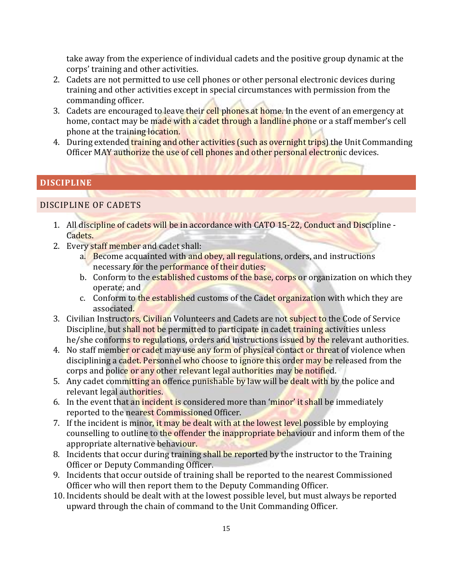take away from the experience of individual cadets and the positive group dynamic at the corps' training and other activities.

- 2. Cadets are not permitted to use cell phones or other personal electronic devices during training and other activities except in special circumstances with permission from the commanding officer.
- 3. Cadets are encouraged to leave their cell phones at home. In the event of an emergency at home, contact may be made with a cadet through a landline phone or a staff member's cell phone at the training location.
- 4. During extended training and other activities (such as overnight trips) the Unit Commanding Officer MAY authorize the use of cell phones and other personal electronic devices.

# <span id="page-14-0"></span>**DISCIPLINE**

### DISCIPLINE OF CADETS

- 1. All discipline of cadets will be in accordance with CATO 15-22, Conduct and Discipline -Cadets.
- 2. Every staff member and cadet shall:
	- a. Become acquainted with and obey, all regulations, orders, and instructions necessary for the performance of their duties;
	- b. Conform to the established customs of the base, corps or organization on which they operate; and
	- c. Conform to the established customs of the Cadet organization with which they are associated.
- 3. Civilian Instructors, Civilian Volunteers and Cadets are not subject to the Code of Service Discipline, but shall not be permitted to participate in cadet training activities unless he/she conforms to regulations, orders and instructions issued by the relevant authorities.
- 4. No staff member or cadet may use any form of physical contact or threat of violence when disciplining a cadet. Personnel who choose to ignore this order may be released from the corps and police or any other relevant legal authorities may be notified.
- 5. Any cadet committing an offence punishable by law will be dealt with by the police and relevant legal authorities.
- 6. In the event that an incident is considered more than 'minor' it shall be immediately reported to the nearest Commissioned Officer.
- 7. If the incident is minor, it may be dealt with at the lowest level possible by employing counselling to outline to the offender the inappropriate behaviour and inform them of the appropriate alternative behaviour.
- 8. Incidents that occur during training shall be reported by the instructor to the Training Officer or Deputy Commanding Officer.
- 9. Incidents that occur outside of training shall be reported to the nearest Commissioned Officer who will then report them to the Deputy Commanding Officer.
- 10. Incidents should be dealt with at the lowest possible level, but must always be reported upward through the chain of command to the Unit Commanding Officer.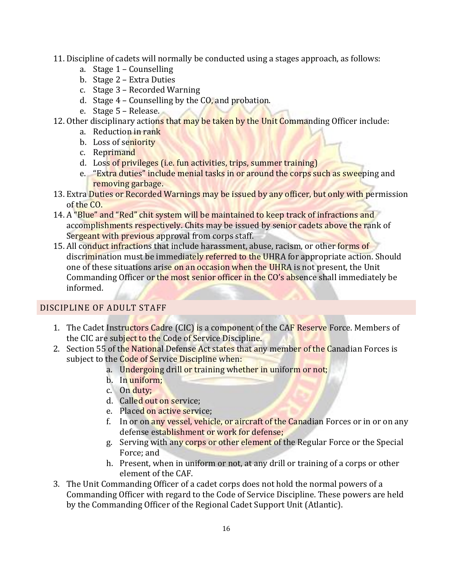- 11. Discipline of cadets will normally be conducted using a stages approach, as follows:
	- a. Stage 1 Counselling
	- b. Stage 2 Extra Duties
	- c. Stage 3 Recorded Warning
	- d. Stage  $4$  Counselling by the  $CO$ , and probation.
	- e. Stage 5 Release.
- 12. Other disciplinary actions that may be taken by the Unit Commanding Officer include:
	- a. Reduction in rank
	- b. Loss of seniority
	- c. Reprimand
	- d. Loss of privileges (i.e. fun activities, trips, summer training)
	- e. "Extra duties" include menial tasks in or around the corps such as sweeping and removing garbage.
- 13. Extra Duties or Recorded Warnings may be issued by any officer, but only with permission of the CO.
- 14. A "Blue" and "Red" chit system will be maintained to keep track of infractions and accomplishments respectively. Chits may be issued by senior cadets above the rank of Sergeant with previous approval from corps staff.
- 15. All conduct infractions that include harassment, abuse, racism, or other forms of discrimination must be immediately referred to the UHRA for appropriate action. Should one of these situations arise on an occasion when the UHRA is not present, the Unit Commanding Officer or the most senior officer in the CO's absence shall immediately be informed.

# DISCIPLINE OF ADULT STAFF

- 1. The Cadet Instructors Cadre (CIC) is a component of the CAF Reserve Force. Members of the CIC are subject to the Code of Service Discipline.
- 2. Section 55 of the National Defense Act states that any member of the Canadian Forces is subject to the Code of Service Discipline when:
	- a. Undergoing drill or training whether in uniform or not;
	- b. In uniform;
	- c. On duty;
	- d. Called out on service;
	- e. Placed on active service;
	- f. In or on any vessel, vehicle, or aircraft of the Canadian Forces or in or on any defense establishment or work for defense;
	- g. Serving with any corps or other element of the Regular Force or the Special Force; and
	- h. Present, when in uniform or not, at any drill or training of a corps or other element of the CAF.
- 3. The Unit Commanding Officer of a cadet corps does not hold the normal powers of a Commanding Officer with regard to the Code of Service Discipline. These powers are held by the Commanding Officer of the Regional Cadet Support Unit (Atlantic).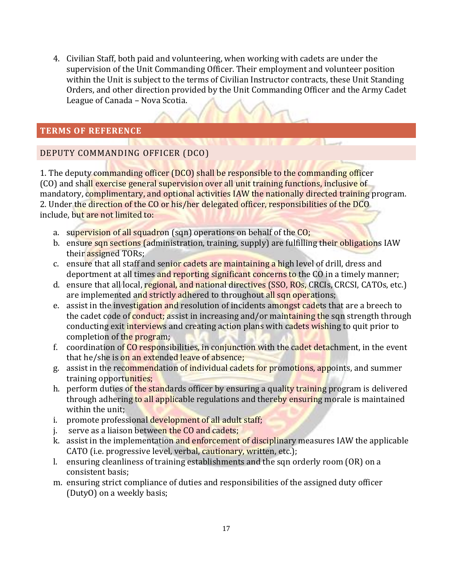4. Civilian Staff, both paid and volunteering, when working with cadets are under the supervision of the Unit Commanding Officer. Their employment and volunteer position within the Unit is subject to the terms of Civilian Instructor contracts, these Unit Standing Orders, and other direction provided by the Unit Commanding Officer and the Army Cadet League of Canada – Nova Scotia.

# <span id="page-16-0"></span>**TERMS OF REFERENCE**

# DEPUTY COMMANDING OFFICER (DCO)

1. The deputy commanding officer (DCO) shall be responsible to the commanding officer (CO) and shall exercise general supervision over all unit training functions, inclusive of mandatory, complimentary, and optional activities IAW the nationally directed training program. 2. Under the direction of the CO or his/her delegated officer, responsibilities of the DCO include, but are not limited to:

- a. supervision of all squadron (sqn) operations on behalf of the CO;
- b. ensure sqn sections (administration, training, supply) are fulfilling their obligations IAW their assigned TORs;
- c. ensure that all staff and senior cadets are maintaining a high level of drill, dress and deportment at all times and reporting significant concerns to the CO in a timely manner;
- d. ensure that all local, regional, and national directives (SSO, ROs, CRCIs, CRCSI, CATOs, etc.) are implemented and strictly adhered to throughout all sqn operations;
- e. assist in the investigation and resolution of incidents amongst cadets that are a breech to the cadet code of conduct; assist in increasing and/or maintaining the sqn strength through conducting exit interviews and creating action plans with cadets wishing to quit prior to completion of the program;
- f. coordination of CO responsibilities, in conjunction with the cadet detachment, in the event that he/she is on an extended leave of absence;
- g. assist in the recommendation of individual cadets for promotions, appoints, and summer training opportunities;
- h. perform duties of the standards officer by ensuring a quality training program is delivered through adhering to all applicable regulations and thereby ensuring morale is maintained within the unit;
- i. promote professional development of all adult staff;
- j. serve as a liaison between the CO and cadets;
- k. assist in the implementation and enforcement of disciplinary measures IAW the applicable CATO (i.e. progressive level, verbal, cautionary, written, etc.);
- l. ensuring cleanliness of training establishments and the sqn orderly room (OR) on a consistent basis;
- m. ensuring strict compliance of duties and responsibilities of the assigned duty officer (DutyO) on a weekly basis;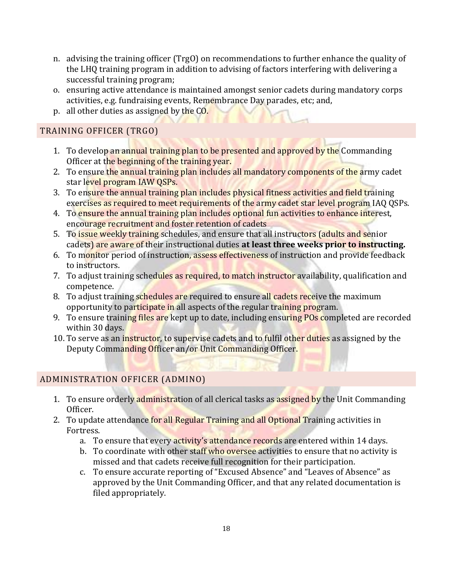- n. advising the training officer (TrgO) on recommendations to further enhance the quality of the LHQ training program in addition to advising of factors interfering with delivering a successful training program;
- o. ensuring active attendance is maintained amongst senior cadets during mandatory corps activities, e.g. fundraising events, Remembrance Day parades, etc; and,
- p. all other duties as assigned by the CO.

# TRAINING OFFICER (TRGO)

- 1. To develop an annual training plan to be presented and approved by the Commanding Officer at the beginning of the training year.
- 2. To ensure the annual training plan includes all mandatory components of the army cadet star level program IAW QSPs.
- 3. To ensure the annual training plan includes physical fitness activities and field training exercises as required to meet requirements of the army cadet star level program IAQ QSPs.
- 4. To ensure the annual training plan includes optional fun activities to enhance interest, encourage recruitment and foster retention of cadets
- 5. To issue weekly training schedules, and ensure that all instructors (adults and senior cadets) are aware of their instructional duties **at least three weeks prior to instructing.**
- 6. To monitor period of instruction, assess effectiveness of instruction and provide feedback to instructors.
- 7. To adjust training schedules as required, to match instructor availability, qualification and competence.
- 8. To adjust training schedules are required to ensure all cadets receive the maximum opportunity to participate in all aspects of the regular training program.
- 9. To ensure training files are kept up to date, including ensuring POs completed are recorded within 30 days.
- 10. To serve as an instructor, to supervise cadets and to fulfil other duties as assigned by the Deputy Commanding Officer an/or Unit Commanding Officer.

# ADMINISTRATION OFFICER (ADMINO)

- 1. To ensure orderly administration of all clerical tasks as assigned by the Unit Commanding Officer.
- 2. To update attendance for all Regular Training and all Optional Training activities in Fortress.
	- a. To ensure that every activity's attendance records are entered within 14 days.
	- b. To coordinate with other staff who oversee activities to ensure that no activity is missed and that cadets receive full recognition for their participation.
	- c. To ensure accurate reporting of "Excused Absence" and "Leaves of Absence" as approved by the Unit Commanding Officer, and that any related documentation is filed appropriately.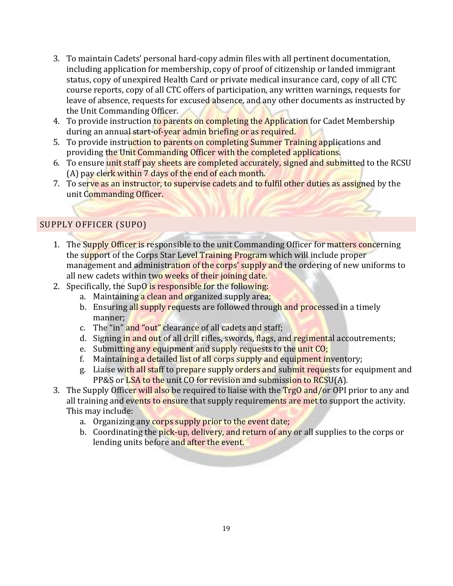- 3. To maintain Cadets' personal hard-copy admin files with all pertinent documentation, including application for membership, copy of proof of citizenship or landed immigrant status, copy of unexpired Health Card or private medical insurance card, copy of all CTC course reports, copy of all CTC offers of participation, any written warnings, requests for leave of absence, requests for excused absence, and any other documents as instructed by the Unit Commanding Officer.
- 4. To provide instruction to parents on completing the Application for Cadet Membership during an annual start-of-year admin briefing or as required.
- 5. To provide instruction to parents on completing Summer Training applications and providing the Unit Commanding Officer with the completed applications.
- 6. To ensure unit staff pay sheets are completed accurately, signed and submitted to the RCSU (A) pay clerk within 7 days of the end of each month.
- 7. To serve as an instructor, to supervise cadets and to fulfil other duties as assigned by the unit Commanding Officer.

# SUPPLY OFFICER (SUPO)

- 1. The Supply Officer is responsible to the unit Commanding Officer for matters concerning the support of the Corps Star Level Training Program which will include proper management and administration of the corps' supply and the ordering of new uniforms to all new cadets within two weeks of their joining date.
- 2. Specifically, the SupO is responsible for the following:
	- a. Maintaining a clean and organized supply area;
	- b. Ensuring all supply requests are followed through and processed in a timely manner;
	- c. The "in" and "out" clearance of all cadets and staff;
	- d. Signing in and out of all drill rifles, swords, flags, and regimental accoutrements;
	- e. Submitting any equipment and supply requests to the unit CO;
	- f. Maintaining a detailed list of all corps supply and equipment inventory;
	- g. Liaise with all staff to prepare supply orders and submit requests for equipment and PP&S or LSA to the unit CO for revision and submission to RCSU(A).
- 3. The Supply Officer will also be required to liaise with the TrgO and/or OPI prior to any and all training and events to ensure that supply requirements are met to support the activity. This may include:
	- a. Organizing any corps supply prior to the event date;
	- b. Coordinating the pick-up, delivery, and return of any or all supplies to the corps or lending units before and after the event.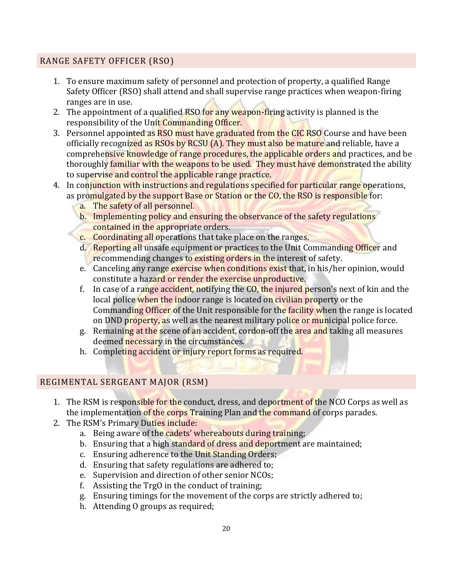# RANGE SAFETY OFFICER (RSO)

- 1. To ensure maximum safety of personnel and protection of property, a qualified Range Safety Officer (RSO) shall attend and shall supervise range practices when weapon-firing ranges are in use.
- 2. The appointment of a qualified RSO for any weapon-firing activity is planned is the responsibility of the Unit Commanding Officer.
- 3. Personnel appointed as RSO must have graduated from the CIC RSO Course and have been officially recognized as RSOs by RCSU (A). They must also be mature and reliable, have a comprehensive knowledge of range procedures, the applicable orders and practices, and be thoroughly familiar with the weapons to be used. They must have demonstrated the ability to supervise and control the applicable range practice.
- 4. In conjunction with instructions and regulations specified for particular range operations, as promulgated by the support Base or Station or the CO, the RSO is responsible for:
	- a. The safety of all personnel.
	- b. Implementing policy and ensuring the observance of the safety regulations contained in the appropriate orders.
	- c. Coordinating all operations that take place on the ranges.
	- d. Reporting all unsafe equipment or practices to the Unit Commanding Officer and recommending changes to existing orders in the interest of safety.
	- e. Canceling any range exercise when conditions exist that, in his/her opinion, would constitute a hazard or render the exercise unproductive.
	- f. In case of a range accident, notifying the CO, the injured person's next of kin and the local police when the indoor range is located on civilian property or the Commanding Officer of the Unit responsible for the facility when the range is located on DND property, as well as the nearest military police or municipal police force.
	- g. Remaining at the scene of an accident, cordon-off the area and taking all measures deemed necessary in the circumstances.
	- h. Completing accident or injury report forms as required.

# REGIMENTAL SERGEANT MAJOR (RSM)

- 1. The RSM is responsible for the conduct, dress, and deportment of the NCO Corps as well as the implementation of the corps Training Plan and the command of corps parades.
- 2. The RSM's Primary Duties include:
	- a. Being aware of the cadets' whereabouts during training;
	- b. Ensuring that a high standard of dress and deportment are maintained;
	- c. Ensuring adherence to the Unit Standing Orders;
	- d. Ensuring that safety regulations are adhered to;
	- e. Supervision and direction of other senior NCOs;
	- f. Assisting the TrgO in the conduct of training;
	- g. Ensuring timings for the movement of the corps are strictly adhered to;
	- h. Attending O groups as required;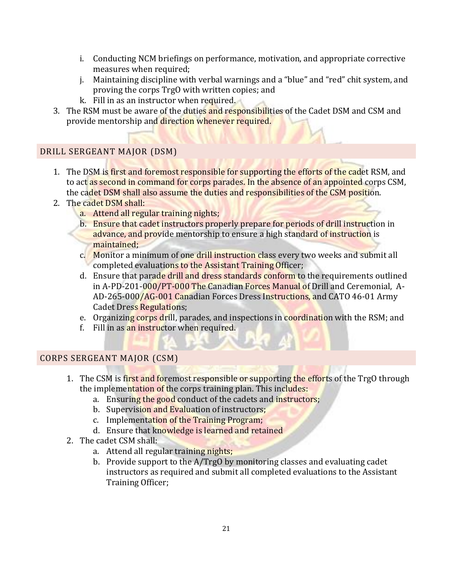- i. Conducting NCM briefings on performance, motivation, and appropriate corrective measures when required;
- j. Maintaining discipline with verbal warnings and a "blue" and "red" chit system, and proving the corps TrgO with written copies; and
- k. Fill in as an instructor when required.
- 3. The RSM must be aware of the duties and responsibilities of the Cadet DSM and CSM and provide mentorship and direction whenever required.

# DRILL SERGEANT MAJOR (DSM)

- 1. The DSM is first and foremost responsible for supporting the efforts of the cadet RSM, and to act as second in command for corps parades. In the absence of an appointed corps CSM, the cadet DSM shall also assume the duties and responsibilities of the CSM position.
- 2. The cadet DSM shall:
	- a. Attend all regular training nights;
	- b. Ensure that cadet instructors properly prepare for periods of drill instruction in advance, and provide mentorship to ensure a high standard of instruction is maintained;
	- c. Monitor a minimum of one drill instruction class every two weeks and submit all completed evaluations to the Assistant Training Officer;
	- d. Ensure that parade drill and dress standards conform to the requirements outlined in A-PD-201-000/PT-000 The Canadian Forces Manual of Drill and Ceremonial, A-AD-265-000/AG-001 Canadian Forces Dress Instructions, and CATO 46-01 Army Cadet Dress Regulations;
	- e. Organizing corps drill, parades, and inspections in coordination with the RSM; and
	- f. Fill in as an instructor when required.

# CORPS SERGEANT MAJOR (CSM)

- 1. The CSM is first and foremost responsible or supporting the efforts of the TrgO through the implementation of the corps training plan. This includes:
	- a. Ensuring the good conduct of the cadets and instructors;
	- b. Supervision and Evaluation of instructors;
	- c. Implementation of the Training Program;
	- d. Ensure that knowledge is learned and retained
- 2. The cadet CSM shall:
	- a. Attend all regular training nights;
	- b. Provide support to the A/TrgO by monitoring classes and evaluating cadet instructors as required and submit all completed evaluations to the Assistant Training Officer;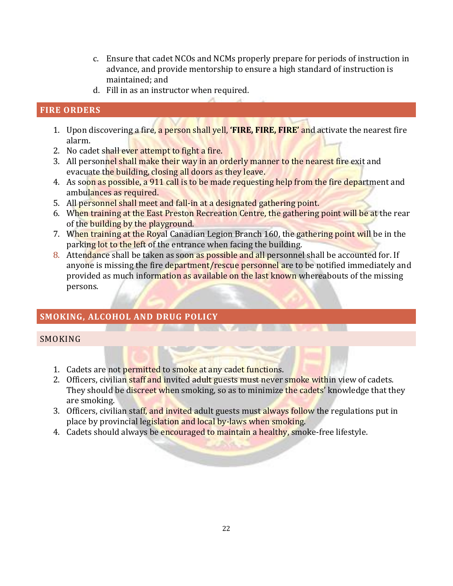- c. Ensure that cadet NCOs and NCMs properly prepare for periods of instruction in advance, and provide mentorship to ensure a high standard of instruction is maintained; and
- d. Fill in as an instructor when required.

# <span id="page-21-0"></span>**FIRE ORDERS**

- 1. Upon discovering a fire, a person shall yell, **'FIRE, FIRE, FIRE'** and activate the nearest fire alarm.
- 2. No cadet shall ever attempt to fight a fire.
- 3. All personnel shall make their way in an orderly manner to the nearest fire exit and evacuate the building, closing all doors as they leave.
- 4. As soon as possible, a 911 call is to be made requesting help from the fire department and ambulances as required.
- 5. All personnel shall meet and fall-in at a designated gathering point.
- 6. When training at the East Preston Recreation Centre, the gathering point will be at the rear of the building by the playground.
- 7. When training at the Royal Canadian Legion Branch 160, the gathering point will be in the parking lot to the left of the entrance when facing the building.
- 8. Attendance shall be taken as soon as possible and all personnel shall be accounted for. If anyone is missing the fire department/rescue personnel are to be notified immediately and provided as much information as available on the last known whereabouts of the missing persons.

<u>The Communication of the Communication of the Communication of the Communication of the Communication of the Communication of the Communication of the Communication of the Communication of the Communication of the Communi</u>

# <span id="page-21-1"></span>**SMOKING, ALCOHOL AND DRUG POLICY**

#### **SMOKING**

- 1. Cadets are not permitted to smoke at any cadet functions.
- 2. Officers, civilian staff and invited adult guests must never smoke within view of cadets. They should be discreet when smoking, so as to minimize the cadets' knowledge that they are smoking.
- 3. Officers, civilian staff, and invited adult guests must always follow the regulations put in place by provincial legislation and local by-laws when smoking.
- 4. Cadets should always be encouraged to maintain a healthy, smoke-free lifestyle.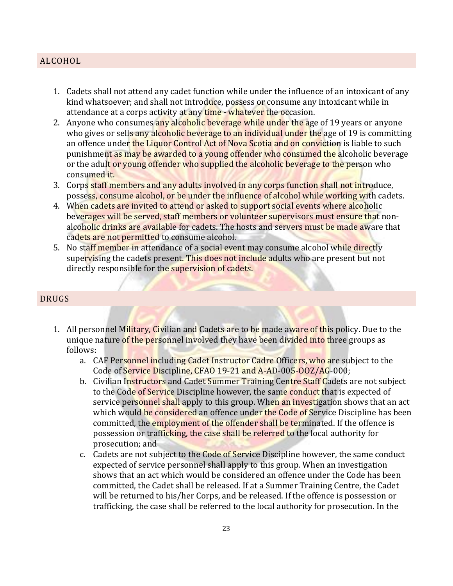# ALCOHOL

- 1. Cadets shall not attend any cadet function while under the influence of an intoxicant of any kind whatsoever; and shall not introduce, possess or consume any intoxicant while in attendance at a corps activity at any time - whatever the occasion.
- 2. Anyone who consumes any alcoholic beverage while under the age of 19 years or anyone who gives or sells any alcoholic beverage to an individual under the age of 19 is committing an offence under the Liquor Control Act of Nova Scotia and on conviction is liable to such punishment as may be awarded to a young offender who consumed the alcoholic beverage or the adult or young offender who supplied the alcoholic beverage to the person who consumed it.
- 3. Corps staff members and any adults involved in any corps function shall not introduce, possess, consume alcohol, or be under the influence of alcohol while working with cadets.
- 4. When cadets are invited to attend or asked to support social events where alcoholic beverages will be served, staff members or volunteer supervisors must ensure that nonalcoholic drinks are available for cadets. The hosts and servers must be made aware that cadets are not permitted to consume alcohol.
- 5. No staff member in attendance of a social event may consume alcohol while directly supervising the cadets present. This does not include adults who are present but not directly responsible for the supervision of cadets.

#### DRUGS

- 1. All personnel Military, Civilian and Cadets are to be made aware of this policy. Due to the unique nature of the personnel involved they have been divided into three groups as follows:
	- a. CAF Personnel including Cadet Instructor Cadre Officers, who are subject to the Code of Service Discipline, CFAO 19-21 and A-AD-005-OOZ/AG-000;
	- b. Civilian Instructors and Cadet Summer Training Centre Staff Cadets are not subject to the Code of Service Discipline however, the same conduct that is expected of service personnel shall apply to this group. When an investigation shows that an act which would be considered an offence under the Code of Service Discipline has been committed, the employment of the offender shall be terminated. If the offence is possession or trafficking, the case shall be referred to the local authority for prosecution; and
	- c. Cadets are not subject to the Code of Service Discipline however, the same conduct expected of service personnel shall apply to this group. When an investigation shows that an act which would be considered an offence under the Code has been committed, the Cadet shall be released. If at a Summer Training Centre, the Cadet will be returned to his/her Corps, and be released. If the offence is possession or trafficking, the case shall be referred to the local authority for prosecution. In the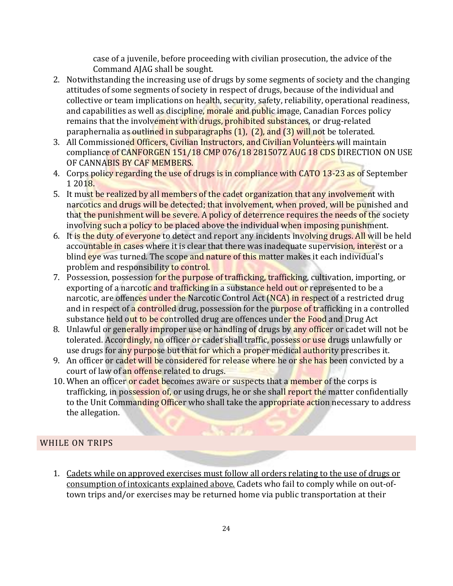case of a juvenile, before proceeding with civilian prosecution, the advice of the Command AJAG shall be sought.

- 2. Notwithstanding the increasing use of drugs by some segments of society and the changing attitudes of some segments of society in respect of drugs, because of the individual and collective or team implications on health, security, safety, reliability, operational readiness, and capabilities as well as discipline, morale and public image, Canadian Forces policy remains that the involvement with drugs, prohibited substances, or drug-related paraphernalia as outlined in subparagraphs (1), (2), and (3) will not be tolerated.
- 3. All Commissioned Officers, Civilian Instructors, and Civilian Volunteers will maintain compliance of CANFORGEN 151/18 CMP 076/18 281507Z AUG 18 CDS DIRECTION ON USE OF CANNABIS BY CAF MEMBERS.
- 4. Corps policy regarding the use of drugs is in compliance with CATO 13-23 as of September 1 2018.
- 5. It must be realized by all members of the cadet organization that any involvement with narcotics and drugs will be detected; that involvement, when proved, will be punished and that the punishment will be severe. A policy of deterrence requires the needs of the society involving such a policy to be placed above the individual when imposing punishment.
- 6. It is the duty of everyone to detect and report any incidents involving drugs. All will be held accountable in cases where it is clear that there was inadequate supervision, interest or a blind eye was turned. The scope and nature of this matter makes it each individual's problem and responsibility to control.
- 7. Possession, possession for the purpose of trafficking, trafficking, cultivation, importing, or exporting of a narcotic and trafficking in a substance held out or represented to be a narcotic, are offences under the Narcotic Control Act (NCA) in respect of a restricted drug and in respect of a controlled drug, possession for the purpose of trafficking in a controlled substance held out to be controlled drug are offences under the Food and Drug Act
- 8. Unlawful or generally improper use or handling of drugs by any officer or cadet will not be tolerated. Accordingly, no officer or cadet shall traffic, possess or use drugs unlawfully or use drugs for any purpose but that for which a proper medical authority prescribes it.
- 9. An officer or cadet will be considered for release where he or she has been convicted by a court of law of an offense related to drugs.
- 10. When an officer or cadet becomes aware or suspects that a member of the corps is trafficking, in possession of, or using drugs, he or she shall report the matter confidentially to the Unit Commanding Officer who shall take the appropriate action necessary to address the allegation.

# WHILE ON TRIPS

1. Cadets while on approved exercises must follow all orders relating to the use of drugs or consumption of intoxicants explained above. Cadets who fail to comply while on out-oftown trips and/or exercises may be returned home via public transportation at their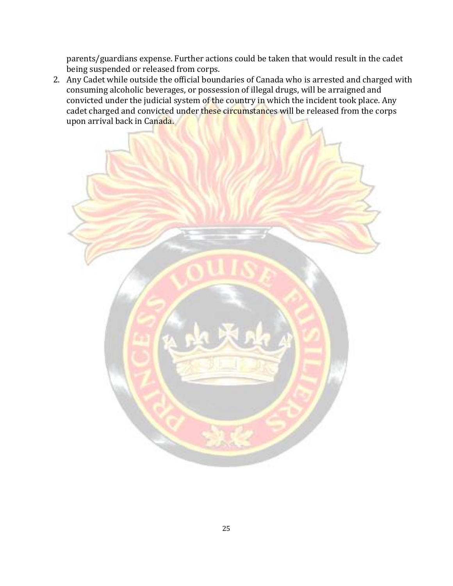parents/guardians expense. Further actions could be taken that would result in the cadet being suspended or released from corps.

2. Any Cadet while outside the official boundaries of Canada who is arrested and charged with consuming alcoholic beverages, or possession of illegal drugs, will be arraigned and convicted under the judicial system of the country in which the incident took place. Any cadet charged and convicted under these circumstances will be released from the corps upon arrival back in Canada.

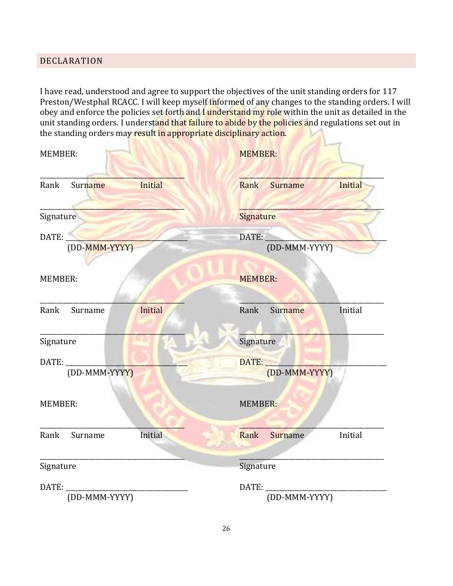## <span id="page-25-0"></span>DECLARATION

I have read, understood and agree to support the objectives of the unit standing orders for 117 Preston/Westphal RCACC. I will keep myself informed of any changes to the standing orders. I will obey and enforce the policies set forth and I understand my role within the unit as detailed in the unit standing orders. I understand that failure to abide by the policies and regulations set out in the standing orders may result in appropriate disciplinary action.

| <b>MEMBER:</b> |               |         | <b>MEMBER:</b> |                |         |
|----------------|---------------|---------|----------------|----------------|---------|
| Rank           | Surname       | Initial | Rank           | Surname        | Initial |
| Signature      |               |         | Signature      |                |         |
| DATE:          | (DD-MMM-YYYY) |         | DATE:          | (DD-MMM-YYYY)  |         |
| <b>MEMBER:</b> |               |         | <b>MEMBER:</b> |                |         |
| Rank           | Surname       | Initial | Rank           | Surname        | Initial |
| Signature      |               |         | Signature      |                |         |
| DATE:          | (DD-MMM-YYYY) |         | DATE:          | (DD-MMM-YYYY)  |         |
| <b>MEMBER:</b> |               |         | MEMBER:        |                |         |
| Rank           | Surname       | Initial | Rank           | <b>Surname</b> | Initial |
| Signature      |               |         | Signature      |                |         |
| DATE:          | (DD-MMM-YYYY) |         | DATE:          | (DD-MMM-YYYY)  |         |